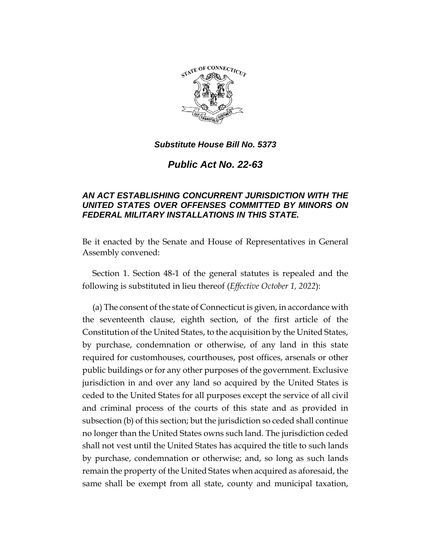

## *Substitute House Bill No. 5373*

*Public Act No. 22-63*

## *AN ACT ESTABLISHING CONCURRENT JURISDICTION WITH THE UNITED STATES OVER OFFENSES COMMITTED BY MINORS ON FEDERAL MILITARY INSTALLATIONS IN THIS STATE.*

Be it enacted by the Senate and House of Representatives in General Assembly convened:

Section 1. Section 48-1 of the general statutes is repealed and the following is substituted in lieu thereof (*Effective October 1, 2022*):

(a) The consent of the state of Connecticut is given, in accordance with the seventeenth clause, eighth section, of the first article of the Constitution of the United States, to the acquisition by the United States, by purchase, condemnation or otherwise, of any land in this state required for customhouses, courthouses, post offices, arsenals or other public buildings or for any other purposes of the government. Exclusive jurisdiction in and over any land so acquired by the United States is ceded to the United States for all purposes except the service of all civil and criminal process of the courts of this state and as provided in subsection (b) of this section; but the jurisdiction so ceded shall continue no longer than the United States owns such land. The jurisdiction ceded shall not vest until the United States has acquired the title to such lands by purchase, condemnation or otherwise; and, so long as such lands remain the property of the United States when acquired as aforesaid, the same shall be exempt from all state, county and municipal taxation,